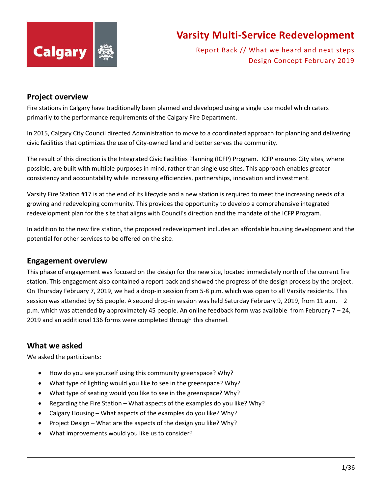

Report Back // What we heard and next steps Design Concept February 2019

#### **Project overview**

Fire stations in Calgary have traditionally been planned and developed using a single use model which caters primarily to the performance requirements of the Calgary Fire Department.

In 2015, Calgary City Council directed Administration to move to a coordinated approach for planning and delivering civic facilities that optimizes the use of City-owned land and better serves the community.

The result of this direction is the Integrated Civic Facilities Planning (ICFP) Program. ICFP ensures City sites, where possible, are built with multiple purposes in mind, rather than single use sites. This approach enables greater consistency and accountability while increasing efficiencies, partnerships, innovation and investment.

Varsity Fire Station #17 is at the end of its lifecycle and a new station is required to meet the increasing needs of a growing and redeveloping community. This provides the opportunity to develop a comprehensive integrated redevelopment plan for the site that aligns with Council's direction and the mandate of the ICFP Program.

In addition to the new fire station, the proposed redevelopment includes an affordable housing development and the potential for other services to be offered on the site.

#### **Engagement overview**

This phase of engagement was focused on the design for the new site, located immediately north of the current fire station. This engagement also contained a report back and showed the progress of the design process by the project. On Thursday February 7, 2019, we had a drop-in session from 5-8 p.m. which was open to all Varsity residents. This session was attended by 55 people. A second drop-in session was held Saturday February 9, 2019, from 11 a.m. – 2 p.m. which was attended by approximately 45 people. An online feedback form was available from February 7 – 24, 2019 and an additional 136 forms were completed through this channel.

#### **What we asked**

We asked the participants:

- How do you see yourself using this community greenspace? Why?
- What type of lighting would you like to see in the greenspace? Why?
- What type of seating would you like to see in the greenspace? Why?
- Regarding the Fire Station What aspects of the examples do you like? Why?
- Calgary Housing What aspects of the examples do you like? Why?
- Project Design What are the aspects of the design you like? Why?
- What improvements would you like us to consider?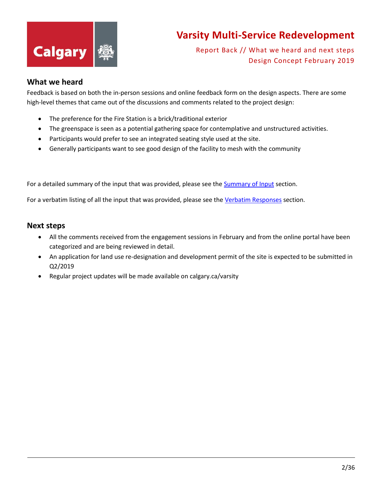

Report Back // What we heard and next steps Design Concept February 2019

#### **What we heard**

Feedback is based on both the in-person sessions and online feedback form on the design aspects. There are some high-level themes that came out of the discussions and comments related to the project design:

- The preference for the Fire Station is a brick/traditional exterior
- The greenspace is seen as a potential gathering space for contemplative and unstructured activities.
- Participants would prefer to see an integrated seating style used at the site.
- Generally participants want to see good design of the facility to mesh with the community

For a detailed summary of the input that was provided, please see the **Summary of Input section**.

For a verbatim listing of all the input that was provided, please see the [Verbatim Responses](#page-7-0) section.

#### **Next steps**

- All the comments received from the engagement sessions in February and from the online portal have been categorized and are being reviewed in detail.
- An application for land use re-designation and development permit of the site is expected to be submitted in Q2/2019
- <span id="page-1-0"></span>• Regular project updates will be made available on calgary.ca/varsity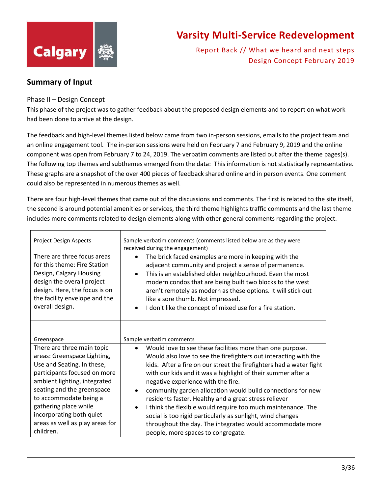

Report Back // What we heard and next steps Design Concept February 2019

#### **Summary of Input**

#### Phase II – Design Concept

This phase of the project was to gather feedback about the proposed design elements and to report on what work had been done to arrive at the design.

The feedback and high-level themes listed below came from two in-person sessions, emails to the project team and an online engagement tool. The in-person sessions were held on February 7 and February 9, 2019 and the online component was open from February 7 to 24, 2019. The verbatim comments are listed out after the theme pages(s). The following top themes and subthemes emerged from the data: This information is not statistically representative. These graphs are a snapshot of the over 400 pieces of feedback shared online and in person events. One comment could also be represented in numerous themes as well.

There are four high-level themes that came out of the discussions and comments. The first is related to the site itself, the second is around potential amenities or services, the third theme highlights traffic comments and the last theme includes more comments related to design elements along with other general comments regarding the project.

| <b>Project Design Aspects</b>                                                                                                                                                                                                            | Sample verbatim comments (comments listed below are as they were<br>received during the engagement)                                                                                                                                                                                                                                                                                                                                                                                                             |
|------------------------------------------------------------------------------------------------------------------------------------------------------------------------------------------------------------------------------------------|-----------------------------------------------------------------------------------------------------------------------------------------------------------------------------------------------------------------------------------------------------------------------------------------------------------------------------------------------------------------------------------------------------------------------------------------------------------------------------------------------------------------|
| There are three focus areas<br>for this theme: Fire Station<br>Design, Calgary Housing<br>design the overall project<br>design. Here, the focus is on<br>the facility envelope and the<br>overall design.                                | The brick faced examples are more in keeping with the<br>adjacent community and project a sense of permanence.<br>This is an established older neighbourhood. Even the most<br>modern condos that are being built two blocks to the west<br>aren't remotely as modern as these options. It will stick out<br>like a sore thumb. Not impressed.<br>I don't like the concept of mixed use for a fire station.<br>$\bullet$                                                                                        |
|                                                                                                                                                                                                                                          |                                                                                                                                                                                                                                                                                                                                                                                                                                                                                                                 |
| Greenspace                                                                                                                                                                                                                               | Sample verbatim comments                                                                                                                                                                                                                                                                                                                                                                                                                                                                                        |
| There are three main topic<br>areas: Greenspace Lighting,<br>Use and Seating. In these,<br>participants focused on more<br>ambient lighting, integrated<br>seating and the greenspace<br>to accommodate being a<br>gathering place while | Would love to see these facilities more than one purpose.<br>Would also love to see the firefighters out interacting with the<br>kids. After a fire on our street the firefighters had a water fight<br>with our kids and it was a highlight of their summer after a<br>negative experience with the fire.<br>community garden allocation would build connections for new<br>residents faster. Healthy and a great stress reliever<br>I think the flexible would require too much maintenance. The<br>$\bullet$ |
| incorporating both quiet<br>areas as well as play areas for                                                                                                                                                                              | social is too rigid particularly as sunlight, wind changes<br>throughout the day. The integrated would accommodate more                                                                                                                                                                                                                                                                                                                                                                                         |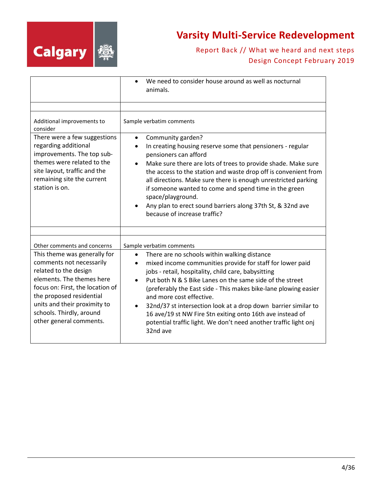

|                                                                                                                                                                                                                                                                       | We need to consider house around as well as nocturnal<br>$\bullet$<br>animals.                                                                                                                                                                                                                                                                                                                                                                                                                                                                                                                                |
|-----------------------------------------------------------------------------------------------------------------------------------------------------------------------------------------------------------------------------------------------------------------------|---------------------------------------------------------------------------------------------------------------------------------------------------------------------------------------------------------------------------------------------------------------------------------------------------------------------------------------------------------------------------------------------------------------------------------------------------------------------------------------------------------------------------------------------------------------------------------------------------------------|
| Additional improvements to<br>consider<br>There were a few suggestions<br>regarding additional<br>improvements. The top sub-<br>themes were related to the<br>site layout, traffic and the<br>remaining site the current<br>station is on.                            | Sample verbatim comments<br>Community garden?<br>$\bullet$<br>In creating housing reserve some that pensioners - regular<br>pensioners can afford<br>Make sure there are lots of trees to provide shade. Make sure<br>$\bullet$<br>the access to the station and waste drop off is convenient from<br>all directions. Make sure there is enough unrestricted parking<br>if someone wanted to come and spend time in the green<br>space/playground.<br>Any plan to erect sound barriers along 37th St, & 32nd ave<br>because of increase traffic?                                                              |
| Other comments and concerns                                                                                                                                                                                                                                           |                                                                                                                                                                                                                                                                                                                                                                                                                                                                                                                                                                                                               |
| This theme was generally for<br>comments not necessarily<br>related to the design<br>elements. The themes here<br>focus on: First, the location of<br>the proposed residential<br>units and their proximity to<br>schools. Thirdly, around<br>other general comments. | Sample verbatim comments<br>There are no schools within walking distance<br>$\bullet$<br>mixed income communities provide for staff for lower paid<br>jobs - retail, hospitality, child care, babysitting<br>Put both N & S Bike Lanes on the same side of the street<br>$\bullet$<br>(preferably the East side - This makes bike-lane plowing easier<br>and more cost effective.<br>32nd/37 st intersection look at a drop down barrier similar to<br>$\bullet$<br>16 ave/19 st NW Fire Stn exiting onto 16th ave instead of<br>potential traffic light. We don't need another traffic light onj<br>32nd ave |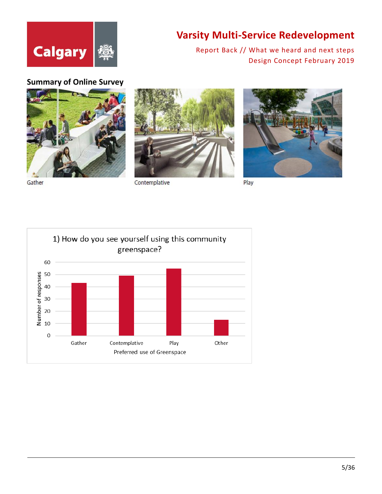

Report Back // What we heard and next steps Design Concept February 2019

#### **Summary of Online Survey**



Gather



Contemplative



Play

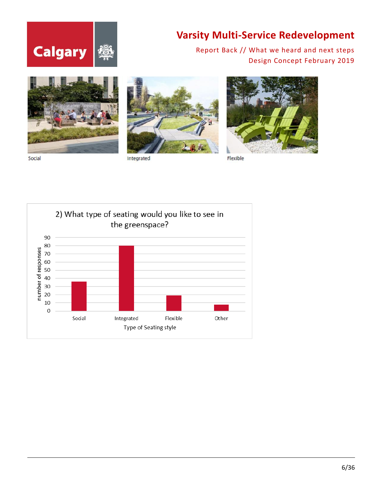



Social



Integrated



Flexible

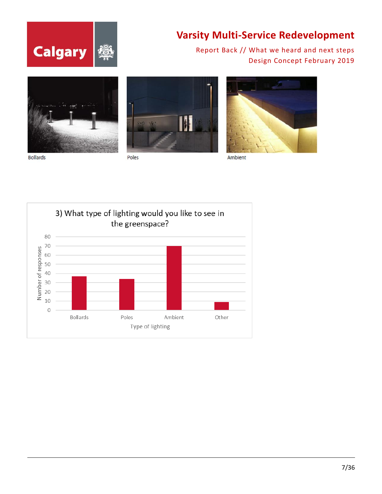





Poles



Ambient

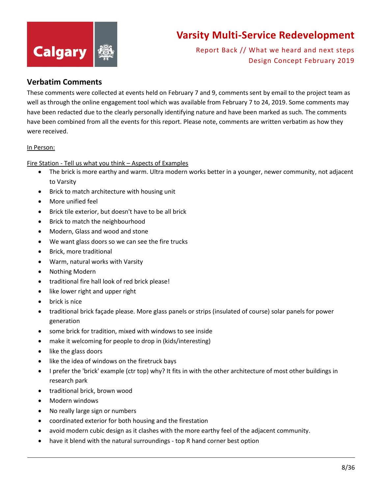

Report Back // What we heard and next steps Design Concept February 2019

#### <span id="page-7-0"></span>**Verbatim Comments**

These comments were collected at events held on February 7 and 9, comments sent by email to the project team as well as through the online engagement tool which was available from February 7 to 24, 2019. Some comments may have been redacted due to the clearly personally identifying nature and have been marked as such. The comments have been combined from all the events for this report. Please note, comments are written verbatim as how they were received.

#### In Person:

Fire Station - Tell us what you think – Aspects of Examples

- The brick is more earthy and warm. Ultra modern works better in a younger, newer community, not adjacent to Varsity
- Brick to match architecture with housing unit
- More unified feel
- Brick tile exterior, but doesn't have to be all brick
- Brick to match the neighbourhood
- Modern, Glass and wood and stone
- We want glass doors so we can see the fire trucks
- Brick, more traditional
- Warm, natural works with Varsity
- Nothing Modern
- traditional fire hall look of red brick please!
- like lower right and upper right
- brick is nice
- traditional brick façade please. More glass panels or strips (insulated of course) solar panels for power generation
- some brick for tradition, mixed with windows to see inside
- make it welcoming for people to drop in (kids/interesting)
- like the glass doors
- like the idea of windows on the firetruck bays
- I prefer the 'brick' example (ctr top) why? It fits in with the other architecture of most other buildings in research park
- traditional brick, brown wood
- Modern windows
- No really large sign or numbers
- coordinated exterior for both housing and the firestation
- avoid modern cubic design as it clashes with the more earthy feel of the adjacent community.
- have it blend with the natural surroundings top R hand corner best option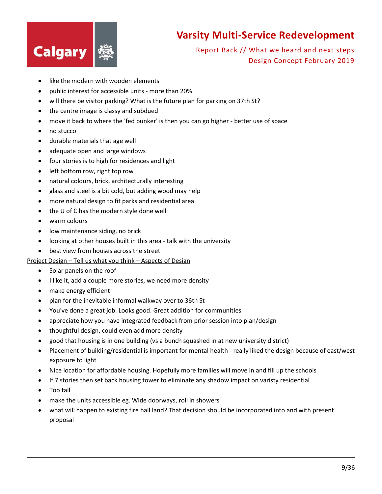

Report Back // What we heard and next steps Design Concept February 2019

- like the modern with wooden elements
- public interest for accessible units more than 20%
- will there be visitor parking? What is the future plan for parking on 37th St?
- the centre image is classy and subdued
- move it back to where the 'fed bunker' is then you can go higher better use of space
- no stucco
- durable materials that age well
- adequate open and large windows
- four stories is to high for residences and light
- left bottom row, right top row
- natural colours, brick, architecturally interesting
- glass and steel is a bit cold, but adding wood may help
- more natural design to fit parks and residential area
- the U of C has the modern style done well
- warm colours
- low maintenance siding, no brick
- looking at other houses built in this area talk with the university
- best view from houses across the street

#### Project Design – Tell us what you think – Aspects of Design

- Solar panels on the roof
- I like it, add a couple more stories, we need more density
- make energy efficient
- plan for the inevitable informal walkway over to 36th St
- You've done a great job. Looks good. Great addition for communities
- appreciate how you have integrated feedback from prior session into plan/design
- thoughtful design, could even add more density
- good that housing is in one building (vs a bunch squashed in at new university district)
- Placement of building/residential is important for mental health really liked the design because of east/west exposure to light
- Nice location for affordable housing. Hopefully more families will move in and fill up the schools
- If 7 stories then set back housing tower to eliminate any shadow impact on varisty residential
- Too tall
- make the units accessible eg. Wide doorways, roll in showers
- what will happen to existing fire hall land? That decision should be incorporated into and with present proposal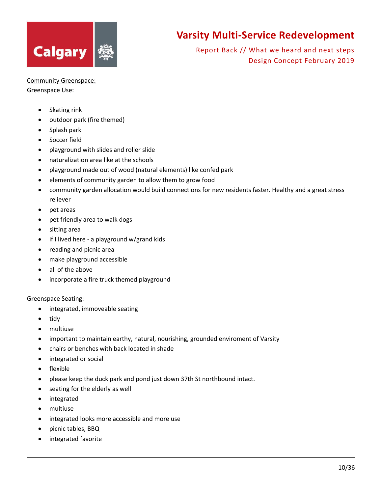

Report Back // What we heard and next steps Design Concept February 2019

Community Greenspace:

Greenspace Use:

- Skating rink
- outdoor park (fire themed)
- Splash park
- Soccer field
- playground with slides and roller slide
- naturalization area like at the schools
- playground made out of wood (natural elements) like confed park
- elements of community garden to allow them to grow food
- community garden allocation would build connections for new residents faster. Healthy and a great stress reliever
- pet areas
- pet friendly area to walk dogs
- sitting area
- if I lived here a playground w/grand kids
- reading and picnic area
- make playground accessible
- all of the above
- incorporate a fire truck themed playground

#### Greenspace Seating:

- integrated, immoveable seating
- tidy
- multiuse
- important to maintain earthy, natural, nourishing, grounded enviroment of Varsity
- chairs or benches with back located in shade
- integrated or social
- flexible
- please keep the duck park and pond just down 37th St northbound intact.
- seating for the elderly as well
- integrated
- multiuse
- integrated looks more accessible and more use
- picnic tables, BBQ
- integrated favorite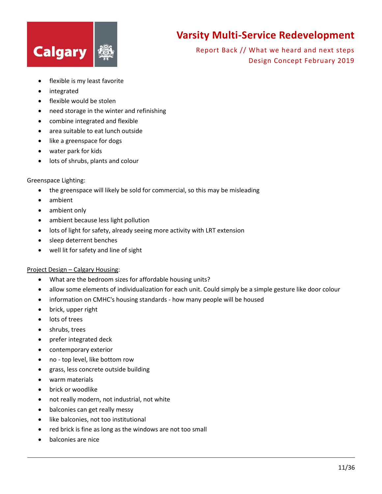

Report Back // What we heard and next steps Design Concept February 2019

- flexible is my least favorite
- integrated
- flexible would be stolen
- need storage in the winter and refinishing
- combine integrated and flexible
- area suitable to eat lunch outside
- like a greenspace for dogs
- water park for kids
- lots of shrubs, plants and colour

#### Greenspace Lighting:

- the greenspace will likely be sold for commercial, so this may be misleading
- ambient
- ambient only
- ambient because less light pollution
- lots of light for safety, already seeing more activity with LRT extension
- sleep deterrent benches
- well lit for safety and line of sight

#### Project Design – Calgary Housing:

- What are the bedroom sizes for affordable housing units?
- allow some elements of individualization for each unit. Could simply be a simple gesture like door colour
- information on CMHC's housing standards how many people will be housed
- brick, upper right
- lots of trees
- shrubs, trees
- prefer integrated deck
- contemporary exterior
- no top level, like bottom row
- grass, less concrete outside building
- warm materials
- brick or woodlike
- not really modern, not industrial, not white
- balconies can get really messy
- like balconies, not too institutional
- red brick is fine as long as the windows are not too small
- balconies are nice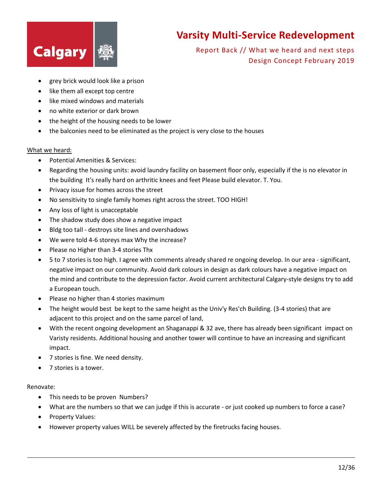

Report Back // What we heard and next steps Design Concept February 2019

- grey brick would look like a prison
- like them all except top centre
- like mixed windows and materials
- no white exterior or dark brown
- the height of the housing needs to be lower
- the balconies need to be eliminated as the project is very close to the houses

#### What we heard:

- Potential Amenities & Services:
- Regarding the housing units: avoid laundry facility on basement floor only, especially if the is no elevator in the building It's really hard on arthritic knees and feet Please build elevator. T. You.
- Privacy issue for homes across the street
- No sensitivity to single family homes right across the street. TOO HIGH!
- Any loss of light is unacceptable
- The shadow study does show a negative impact
- Bldg too tall destroys site lines and overshadows
- We were told 4-6 storeys max Why the increase?
- Please no Higher than 3-4 stories Thx
- 5 to 7 stories is too high. I agree with comments already shared re ongoing develop. In our area significant, negative impact on our community. Avoid dark colours in design as dark colours have a negative impact on the mind and contribute to the depression factor. Avoid current architectural Calgary-style designs try to add a European touch.
- Please no higher than 4 stories maximum
- The height would best be kept to the same height as the Univ'y Res'ch Building. (3-4 stories) that are adjacent to this project and on the same parcel of land,
- With the recent ongoing development an Shaganappi & 32 ave, there has already been significant impact on Varisty residents. Additional housing and another tower will continue to have an increasing and significant impact.
- 7 stories is fine. We need density.
- 7 stories is a tower.

#### Renovate:

- This needs to be proven Numbers?
- What are the numbers so that we can judge if this is accurate or just cooked up numbers to force a case?
- Property Values:
- However property values WILL be severely affected by the firetrucks facing houses.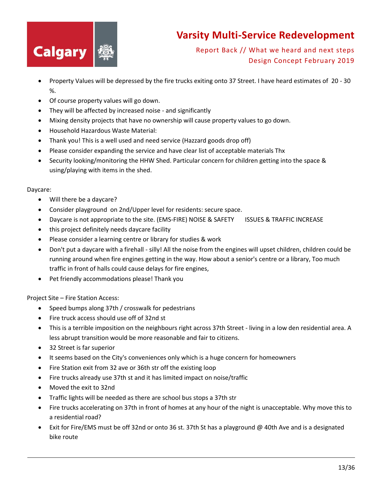

Report Back // What we heard and next steps Design Concept February 2019

- Property Values will be depressed by the fire trucks exiting onto 37 Street. I have heard estimates of 20 30 %.
- Of course property values will go down.
- They will be affected by increased noise and significantly
- Mixing density projects that have no ownership will cause property values to go down.
- Household Hazardous Waste Material:
- Thank you! This is a well used and need service (Hazzard goods drop off)
- Please consider expanding the service and have clear list of acceptable materials Thx
- Security looking/monitoring the HHW Shed. Particular concern for children getting into the space & using/playing with items in the shed.

#### Daycare:

- Will there be a daycare?
- Consider playground on 2nd/Upper level for residents: secure space.
- Daycare is not appropriate to the site. (EMS-FIRE) NOISE & SAFETY ISSUES & TRAFFIC INCREASE
- this project definitely needs daycare facility
- Please consider a learning centre or library for studies & work
- Don't put a daycare with a firehall silly! All the noise from the engines will upset children, children could be running around when fire engines getting in the way. How about a senior's centre or a library, Too much traffic in front of halls could cause delays for fire engines,
- Pet friendly accommodations please! Thank you

Project Site – Fire Station Access:

- Speed bumps along 37th / crosswalk for pedestrians
- Fire truck access should use off of 32nd st
- This is a terrible imposition on the neighbours right across 37th Street living in a low den residential area. A less abrupt transition would be more reasonable and fair to citizens.
- 32 Street is far superior
- It seems based on the City's conveniences only which is a huge concern for homeowners
- Fire Station exit from 32 ave or 36th str off the existing loop
- Fire trucks already use 37th st and it has limited impact on noise/traffic
- Moved the exit to 32nd
- Traffic lights will be needed as there are school bus stops a 37th str
- Fire trucks accelerating on 37th in front of homes at any hour of the night is unacceptable. Why move this to a residential road?
- Exit for Fire/EMS must be off 32nd or onto 36 st. 37th St has a playground @ 40th Ave and is a designated bike route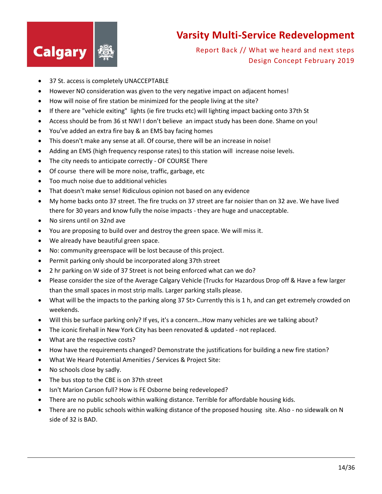

- 37 St. access is completely UNACCEPTABLE
- However NO consideration was given to the very negative impact on adjacent homes!
- How will noise of fire station be minimized for the people living at the site?
- If there are "vehicle exiting" lights (ie fire trucks etc) will lighting impact backing onto 37th St
- Access should be from 36 st NW! I don't believe an impact study has been done. Shame on you!
- You've added an extra fire bay & an EMS bay facing homes
- This doesn't make any sense at all. Of course, there will be an increase in noise!
- Adding an EMS (high frequency response rates) to this station will increase noise levels.
- The city needs to anticipate correctly OF COURSE There
- Of course there will be more noise, traffic, garbage, etc
- Too much noise due to additional vehicles
- That doesn't make sense! Ridiculous opinion not based on any evidence
- My home backs onto 37 street. The fire trucks on 37 street are far noisier than on 32 ave. We have lived there for 30 years and know fully the noise impacts - they are huge and unacceptable.
- No sirens until on 32nd ave
- You are proposing to build over and destroy the green space. We will miss it.
- We already have beautiful green space.
- No: community greenspace will be lost because of this project.
- Permit parking only should be incorporated along 37th street
- 2 hr parking on W side of 37 Street is not being enforced what can we do?
- Please consider the size of the Average Calgary Vehicle (Trucks for Hazardous Drop off & Have a few larger than the small spaces in most strip malls. Larger parking stalls please.
- What will be the impacts to the parking along 37 St> Currently this is 1 h, and can get extremely crowded on weekends.
- Will this be surface parking only? If yes, it's a concern...How many vehicles are we talking about?
- The iconic firehall in New York City has been renovated & updated not replaced.
- What are the respective costs?
- How have the requirements changed? Demonstrate the justifications for building a new fire station?
- What We Heard Potential Amenities / Services & Project Site:
- No schools close by sadly.
- The bus stop to the CBE is on 37th street
- Isn't Marion Carson full? How is FE Osborne being redeveloped?
- There are no public schools within walking distance. Terrible for affordable housing kids.
- There are no public schools within walking distance of the proposed housing site. Also no sidewalk on N side of 32 is BAD.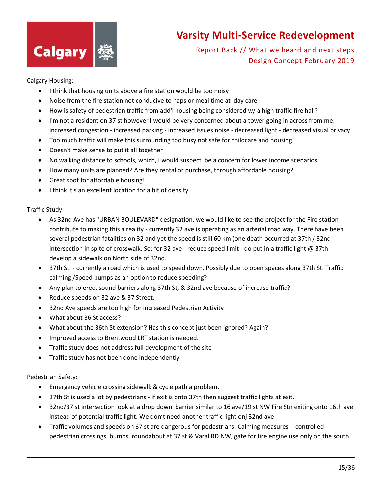

Report Back // What we heard and next steps Design Concept February 2019

#### Calgary Housing:

- I think that housing units above a fire station would be too noisy
- Noise from the fire station not conducive to naps or meal time at day care
- How is safety of pedestrian traffic from add'l housing being considered w/ a high traffic fire hall?
- I'm not a resident on 37 st however I would be very concerned about a tower going in across from me: increased congestion - increased parking - increased issues noise - decreased light - decreased visual privacy
- Too much traffic will make this surrounding too busy not safe for childcare and housing.
- Doesn't make sense to put it all together
- No walking distance to schools, which, I would suspect be a concern for lower income scenarios
- How many units are planned? Are they rental or purchase, through affordable housing?
- Great spot for affordable housing!
- I think it's an excellent location for a bit of density.

#### Traffic Study:

- As 32nd Ave has "URBAN BOULEVARD" designation, we would like to see the project for the Fire station contribute to making this a reality - currently 32 ave is operating as an arterial road way. There have been several pedestrian fatalities on 32 and yet the speed is still 60 km (one death occurred at 37th / 32nd intersection in spite of crosswalk. So: for 32 ave - reduce speed limit - do put in a traffic light @ 37th develop a sidewalk on North side of 32nd.
- 37th St. currently a road which is used to speed down. Possibly due to open spaces along 37th St. Traffic calming /Speed bumps as an option to reduce speeding?
- Any plan to erect sound barriers along 37th St, & 32nd ave because of increase traffic?
- Reduce speeds on 32 ave & 37 Street.
- 32nd Ave speeds are too high for increased Pedestrian Activity
- What about 36 St access?
- What about the 36th St extension? Has this concept just been ignored? Again?
- Improved access to Brentwood LRT station is needed.
- Traffic study does not address full development of the site
- Traffic study has not been done independently

#### Pedestrian Safety:

- Emergency vehicle crossing sidewalk & cycle path a problem.
- 37th St is used a lot by pedestrians if exit is onto 37th then suggest traffic lights at exit.
- 32nd/37 st intersection look at a drop down barrier similar to 16 ave/19 st NW Fire Stn exiting onto 16th ave instead of potential traffic light. We don't need another traffic light onj 32nd ave
- Traffic volumes and speeds on 37 st are dangerous for pedestrians. Calming measures controlled pedestrian crossings, bumps, roundabout at 37 st & Varal RD NW, gate for fire engine use only on the south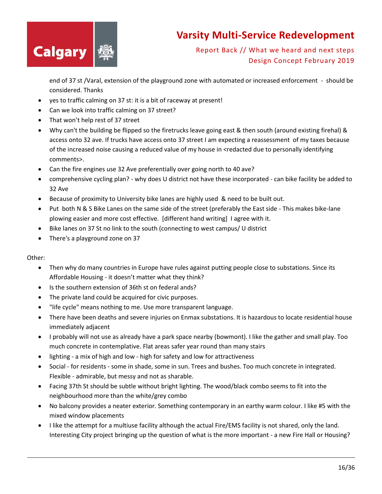

Report Back // What we heard and next steps Design Concept February 2019

end of 37 st /Varal, extension of the playground zone with automated or increased enforcement - should be considered. Thanks

- yes to traffic calming on 37 st: it is a bit of raceway at present!
- Can we look into traffic calming on 37 street?
- That won't help rest of 37 street
- Why can't the building be flipped so the firetrucks leave going east & then south (around existing firehal) & access onto 32 ave. If trucks have access onto 37 street I am expecting a reassessment of my taxes because of the increased noise causing a reduced value of my house in <redacted due to personally identifying comments>.
- Can the fire engines use 32 Ave preferentially over going north to 40 ave?
- comprehensive cycling plan? why does U district not have these incorporated can bike facility be added to 32 Ave
- Because of proximity to University bike lanes are highly used & need to be built out.
- Put both N & S Bike Lanes on the same side of the street (preferably the East side This makes bike-lane plowing easier and more cost effective. [different hand writing] I agree with it.
- Bike lanes on 37 St no link to the south (connecting to west campus/ U district
- There's a playground zone on 37

#### Other:

- Then why do many countries in Europe have rules against putting people close to substations. Since its Affordable Housing - it doesn't matter what they think?
- Is the southern extension of 36th st on federal ands?
- The private land could be acquired for civic purposes.
- "life cycle" means nothing to me. Use more transparent language.
- There have been deaths and severe injuries on Enmax substations. It is hazardous to locate residential house immediately adjacent
- I probably will not use as already have a park space nearby (bowmont). I like the gather and small play. Too much concrete in contemplative. Flat areas safer year round than many stairs
- lighting a mix of high and low high for safety and low for attractiveness
- Social for residents some in shade, some in sun. Trees and bushes. Too much concrete in integrated. Flexible - admirable, but messy and not as sharable.
- Facing 37th St should be subtle without bright lighting. The wood/black combo seems to fit into the neighbourhood more than the white/grey combo
- No balcony provides a neater exterior. Something contemporary in an earthy warm colour. I like #5 with the mixed window placements
- I like the attempt for a multiuse facility although the actual Fire/EMS facility is not shared, only the land. Interesting City project bringing up the question of what is the more important - a new Fire Hall or Housing?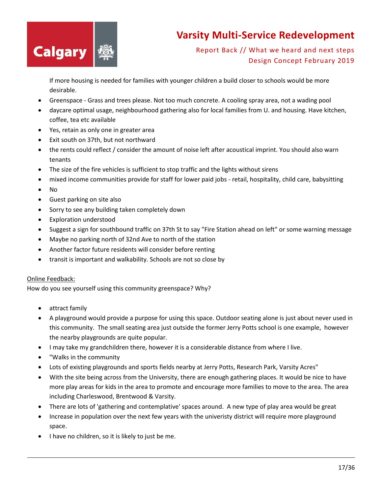

Report Back // What we heard and next steps Design Concept February 2019

If more housing is needed for families with younger children a build closer to schools would be more desirable.

- Greenspace Grass and trees please. Not too much concrete. A cooling spray area, not a wading pool
- daycare optimal usage, neighbourhood gathering also for local families from U. and housing. Have kitchen, coffee, tea etc available
- Yes, retain as only one in greater area
- Exit south on 37th, but not northward
- the rents could reflect / consider the amount of noise left after acoustical imprint. You should also warn tenants
- The size of the fire vehicles is sufficient to stop traffic and the lights without sirens
- mixed income communities provide for staff for lower paid jobs retail, hospitality, child care, babysitting
- No
- Guest parking on site also
- Sorry to see any building taken completely down
- Exploration understood
- Suggest a sign for southbound traffic on 37th St to say "Fire Station ahead on left" or some warning message
- Maybe no parking north of 32nd Ave to north of the station
- Another factor future residents will consider before renting
- transit is important and walkability. Schools are not so close by

#### Online Feedback:

How do you see yourself using this community greenspace? Why?

- attract family
- A playground would provide a purpose for using this space. Outdoor seating alone is just about never used in this community. The small seating area just outside the former Jerry Potts school is one example, however the nearby playgrounds are quite popular.
- I may take my grandchildren there, however it is a considerable distance from where I live.
- "Walks in the community
- Lots of existing playgrounds and sports fields nearby at Jerry Potts, Research Park, Varsity Acres"
- With the site being across from the University, there are enough gathering places. It would be nice to have more play areas for kids in the area to promote and encourage more families to move to the area. The area including Charleswood, Brentwood & Varsity.
- There are lots of 'gathering and contemplative' spaces around. A new type of play area would be great
- Increase in population over the next few years with the univeristy district will require more playground space.
- I have no children, so it is likely to just be me.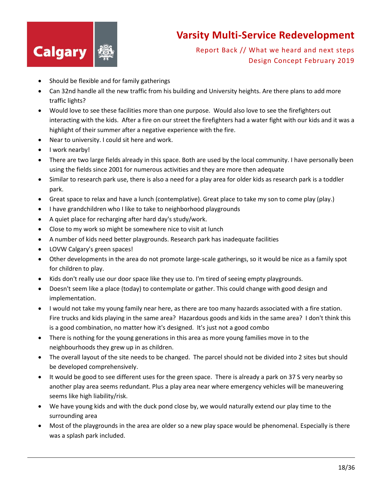

- Should be flexible and for family gatherings
- Can 32nd handle all the new traffic from his building and University heights. Are there plans to add more traffic lights?
- Would love to see these facilities more than one purpose. Would also love to see the firefighters out interacting with the kids. After a fire on our street the firefighters had a water fight with our kids and it was a highlight of their summer after a negative experience with the fire.
- Near to university. I could sit here and work.
- I work nearby!
- There are two large fields already in this space. Both are used by the local community. I have personally been using the fields since 2001 for numerous activities and they are more then adequate
- Similar to research park use, there is also a need for a play area for older kids as research park is a toddler park.
- Great space to relax and have a lunch (contemplative). Great place to take my son to come play (play.)
- I have grandchildren who I like to take to neighborhood playgrounds
- A quiet place for recharging after hard day's study/work.
- Close to my work so might be somewhere nice to visit at lunch
- A number of kids need better playgrounds. Research park has inadequate facilities
- LOVW Calgary's green spaces!
- Other developments in the area do not promote large-scale gatherings, so it would be nice as a family spot for children to play.
- Kids don't really use our door space like they use to. I'm tired of seeing empty playgrounds.
- Doesn't seem like a place (today) to contemplate or gather. This could change with good design and implementation.
- I would not take my young family near here, as there are too many hazards associated with a fire station. Fire trucks and kids playing in the same area? Hazardous goods and kids in the same area? I don't think this is a good combination, no matter how it's designed. It's just not a good combo
- There is nothing for the young generations in this area as more young families move in to the neighbourhoods they grew up in as children.
- The overall layout of the site needs to be changed. The parcel should not be divided into 2 sites but should be developed comprehensively.
- It would be good to see different uses for the green space. There is already a park on 37 S very nearby so another play area seems redundant. Plus a play area near where emergency vehicles will be maneuvering seems like high liability/risk.
- We have young kids and with the duck pond close by, we would naturally extend our play time to the surrounding area
- Most of the playgrounds in the area are older so a new play space would be phenomenal. Especially is there was a splash park included.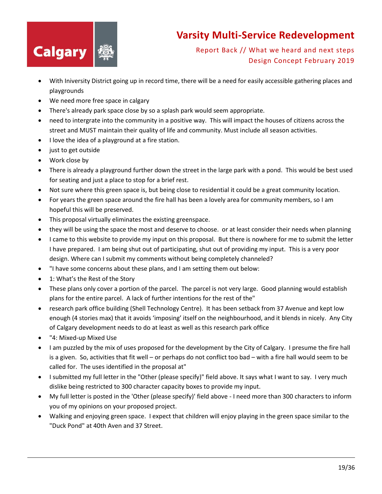

- With Iniversity District going up in record time, there will be a need for easily accessible gathering places and playgrounds
- We need more free space in calgary
- There's already park space close by so a splash park would seem appropriate.
- need to intergrate into the community in a positive way. This will impact the houses of citizens across the street and MUST maintain their quality of life and community. Must include all season activities.
- I love the idea of a playground at a fire station.
- just to get outside
- Work close by
- There is already a playground further down the street in the large park with a pond. This would be best used for seating and just a place to stop for a brief rest.
- Not sure where this green space is, but being close to residential it could be a great community location.
- For years the green space around the fire hall has been a lovely area for community members, so I am hopeful this will be preserved.
- This proposal virtually eliminates the existing greenspace.
- they will be using the space the most and deserve to choose. or at least consider their needs when planning
- I came to this website to provide my input on this proposal. But there is nowhere for me to submit the letter I have prepared. I am being shut out of participating, shut out of providing my input. This is a very poor design. Where can I submit my comments without being completely channeled?
- "I have some concerns about these plans, and I am setting them out below:
- 1: What's the Rest of the Story
- These plans only cover a portion of the parcel. The parcel is not very large. Good planning would establish plans for the entire parcel. A lack of further intentions for the rest of the"
- research park office building (Shell Technology Centre). It has been setback from 37 Avenue and kept low enough (4 stories max) that it avoids 'imposing' itself on the neighbourhood, and it blends in nicely. Any City of Calgary development needs to do at least as well as this research park office
- "4: Mixed-up Mixed Use
- I am puzzled by the mix of uses proposed for the development by the City of Calgary. I presume the fire hall is a given. So, activities that fit well – or perhaps do not conflict too bad – with a fire hall would seem to be called for. The uses identified in the proposal at"
- I submitted my full letter in the "Other (please specify)" field above. It says what I want to say. I very much dislike being restricted to 300 character capacity boxes to provide my input.
- My full letter is posted in the 'Other (please specify)' field above I need more than 300 characters to inform you of my opinions on your proposed project.
- Walking and enjoying green space. I expect that children will enjoy playing in the green space similar to the "Duck Pond" at 40th Aven and 37 Street.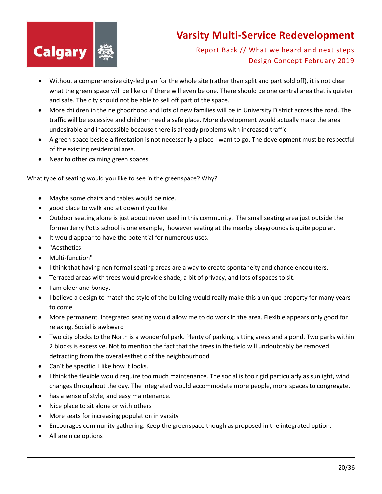

Report Back // What we heard and next steps Design Concept February 2019

- Without a comprehensive city-led plan for the whole site (rather than split and part sold off), it is not clear what the green space will be like or if there will even be one. There should be one central area that is quieter and safe. The city should not be able to sell off part of the space.
- More children in the neighborhood and lots of new families will be in University District across the road. The traffic will be excessive and children need a safe place. More development would actually make the area undesirable and inaccessible because there is already problems with increased traffic
- A green space beside a firestation is not necessarily a place I want to go. The development must be respectful of the existing residential area.
- Near to other calming green spaces

What type of seating would you like to see in the greenspace? Why?

- Maybe some chairs and tables would be nice.
- good place to walk and sit down if you like
- Outdoor seating alone is just about never used in this community. The small seating area just outside the former Jerry Potts school is one example, however seating at the nearby playgrounds is quite popular.
- It would appear to have the potential for numerous uses.
- "Aesthetics
- Multi-function"
- I think that having non formal seating areas are a way to create spontaneity and chance encounters.
- Terraced areas with trees would provide shade, a bit of privacy, and lots of spaces to sit.
- I am older and boney.
- I believe a design to match the style of the building would really make this a unique property for many years to come
- More permanent. Integrated seating would allow me to do work in the area. Flexible appears only good for relaxing. Social is awkward
- Two city blocks to the North is a wonderful park. Plenty of parking, sitting areas and a pond. Two parks within 2 blocks is excessive. Not to mention the fact that the trees in the field will undoubtably be removed detracting from the overal esthetic of the neighbourhood
- Can't be specific. I like how it looks.
- I think the flexible would require too much maintenance. The social is too rigid particularly as sunlight, wind changes throughout the day. The integrated would accommodate more people, more spaces to congregate.
- has a sense of style, and easy maintenance.
- Nice place to sit alone or with others
- More seats for increasing population in varsity
- Encourages community gathering. Keep the greenspace though as proposed in the integrated option.
- All are nice options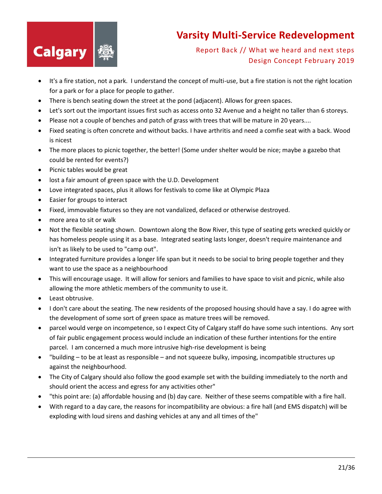

- It's a fire station, not a park. I understand the concept of multi-use, but a fire station is not the right location for a park or for a place for people to gather.
- There is bench seating down the street at the pond (adjacent). Allows for green spaces.
- Let's sort out the important issues first such as access onto 32 Avenue and a height no taller than 6 storeys.
- Please not a couple of benches and patch of grass with trees that will be mature in 20 years....
- Fixed seating is often concrete and without backs. I have arthritis and need a comfie seat with a back. Wood is nicest
- The more places to picnic together, the better! (Some under shelter would be nice; maybe a gazebo that could be rented for events?)
- Picnic tables would be great
- lost a fair amount of green space with the U.D. Development
- Love integrated spaces, plus it allows for festivals to come like at Olympic Plaza
- Easier for groups to interact
- Fixed, immovable fixtures so they are not vandalized, defaced or otherwise destroyed.
- more area to sit or walk
- Not the flexible seating shown. Downtown along the Bow River, this type of seating gets wrecked quickly or has homeless people using it as a base. Integrated seating lasts longer, doesn't require maintenance and isn't as likely to be used to "camp out".
- Integrated furniture provides a longer life span but it needs to be social to bring people together and they want to use the space as a neighbourhood
- This will encourage usage. It will allow for seniors and families to have space to visit and picnic, while also allowing the more athletic members of the community to use it.
- Least obtrusive.
- I don't care about the seating. The new residents of the proposed housing should have a say. I do agree with the development of some sort of green space as mature trees will be removed.
- parcel would verge on incompetence, so I expect City of Calgary staff do have some such intentions. Any sort of fair public engagement process would include an indication of these further intentions for the entire parcel. I am concerned a much more intrusive high-rise development is being
- "building to be at least as responsible and not squeeze bulky, imposing, incompatible structures up against the neighbourhood.
- The City of Calgary should also follow the good example set with the building immediately to the north and should orient the access and egress for any activities other"
- "this point are: (a) affordable housing and (b) day care. Neither of these seems compatible with a fire hall.
- With regard to a day care, the reasons for incompatibility are obvious: a fire hall (and EMS dispatch) will be exploding with loud sirens and dashing vehicles at any and all times of the"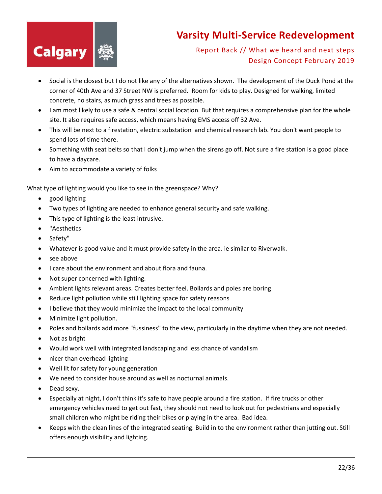

Report Back // What we heard and next steps Design Concept February 2019

- Social is the closest but I do not like any of the alternatives shown. The development of the Duck Pond at the corner of 40th Ave and 37 Street NW is preferred. Room for kids to play. Designed for walking, limited concrete, no stairs, as much grass and trees as possible.
- I am most likely to use a safe & central social location. But that requires a comprehensive plan for the whole site. It also requires safe access, which means having EMS access off 32 Ave.
- This will be next to a firestation, electric substation and chemical research lab. You don't want people to spend lots of time there.
- Something with seat belts so that I don't jump when the sirens go off. Not sure a fire station is a good place to have a daycare.
- Aim to accommodate a variety of folks

What type of lighting would you like to see in the greenspace? Why?

- good lighting
- Two types of lighting are needed to enhance general security and safe walking.
- This type of lighting is the least intrusive.
- "Aesthetics
- Safety"
- Whatever is good value and it must provide safety in the area. ie similar to Riverwalk.
- see above
- I care about the environment and about flora and fauna.
- Not super concerned with lighting.
- Ambient lights relevant areas. Creates better feel. Bollards and poles are boring
- Reduce light pollution while still lighting space for safety reasons
- I believe that they would minimize the impact to the local community
- Minimize light pollution.
- Poles and bollards add more "fussiness" to the view, particularly in the daytime when they are not needed.
- Not as bright
- Would work well with integrated landscaping and less chance of vandalism
- nicer than overhead lighting
- Well lit for safety for young generation
- We need to consider house around as well as nocturnal animals.
- Dead sexy.
- Especially at night, I don't think it's safe to have people around a fire station. If fire trucks or other emergency vehicles need to get out fast, they should not need to look out for pedestrians and especially small children who might be riding their bikes or playing in the area. Bad idea.
- Keeps with the clean lines of the integrated seating. Build in to the environment rather than jutting out. Still offers enough visibility and lighting.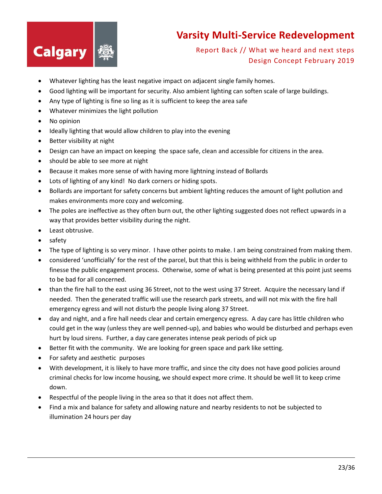

- Whatever lighting has the least negative impact on adjacent single family homes.
- Good lighting will be important for security. Also ambient lighting can soften scale of large buildings.
- Any type of lighting is fine so ling as it is sufficient to keep the area safe
- Whatever minimizes the light pollution
- No opinion
- Ideally lighting that would allow children to play into the evening
- Better visibility at night
- Design can have an impact on keeping the space safe, clean and accessible for citizens in the area.
- should be able to see more at night
- Because it makes more sense of with having more lightning instead of Bollards
- Lots of lighting of any kind! No dark corners or hiding spots.
- Bollards are important for safety concerns but ambient lighting reduces the amount of light pollution and makes environments more cozy and welcoming.
- The poles are ineffective as they often burn out, the other lighting suggested does not reflect upwards in a way that provides better visibility during the night.
- Least obtrusive.
- safety
- The type of lighting is so very minor. I have other points to make. I am being constrained from making them.
- considered 'unofficially' for the rest of the parcel, but that this is being withheld from the public in order to finesse the public engagement process. Otherwise, some of what is being presented at this point just seems to be bad for all concerned.
- than the fire hall to the east using 36 Street, not to the west using 37 Street. Acquire the necessary land if needed. Then the generated traffic will use the research park streets, and will not mix with the fire hall emergency egress and will not disturb the people living along 37 Street.
- day and night, and a fire hall needs clear and certain emergency egress. A day care has little children who could get in the way (unless they are well penned-up), and babies who would be disturbed and perhaps even hurt by loud sirens. Further, a day care generates intense peak periods of pick up
- Better fit with the community. We are looking for green space and park like setting.
- For safety and aesthetic purposes
- With development, it is likely to have more traffic, and since the city does not have good policies around criminal checks for low income housing, we should expect more crime. It should be well lit to keep crime down.
- Respectful of the people living in the area so that it does not affect them.
- Find a mix and balance for safety and allowing nature and nearby residents to not be subjected to illumination 24 hours per day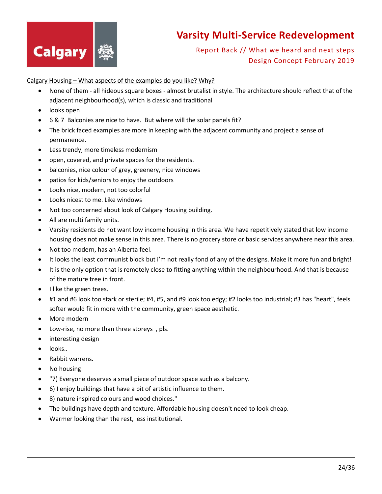

#### Report Back // What we heard and next steps Design Concept February 2019

Calgary Housing – What aspects of the examples do you like? Why?

- None of them all hideous square boxes almost brutalist in style. The architecture should reflect that of the adjacent neighbourhood(s), which is classic and traditional
- looks open
- 6 & 7 Balconies are nice to have. But where will the solar panels fit?
- The brick faced examples are more in keeping with the adjacent community and project a sense of permanence.
- Less trendy, more timeless modernism
- open, covered, and private spaces for the residents.
- balconies, nice colour of grey, greenery, nice windows
- patios for kids/seniors to enjoy the outdoors
- Looks nice, modern, not too colorful
- Looks nicest to me. Like windows
- Not too concerned about look of Calgary Housing building.
- All are multi family units.
- Varsity residents do not want low income housing in this area. We have repetitively stated that low income housing does not make sense in this area. There is no grocery store or basic services anywhere near this area.
- Not too modern, has an Alberta feel.
- It looks the least communist block but i'm not really fond of any of the designs. Make it more fun and bright!
- It is the only option that is remotely close to fitting anything within the neighbourhood. And that is because of the mature tree in front.
- I like the green trees.
- #1 and #6 look too stark or sterile; #4, #5, and #9 look too edgy; #2 looks too industrial; #3 has "heart", feels softer would fit in more with the community, green space aesthetic.
- More modern
- Low-rise, no more than three storeys , pls.
- interesting design
- looks..
- Rabbit warrens.
- No housing
- "7) Everyone deserves a small piece of outdoor space such as a balcony.
- 6) I enjoy buildings that have a bit of artistic influence to them.
- 8) nature inspired colours and wood choices."
- The buildings have depth and texture. Affordable housing doesn't need to look cheap.
- Warmer looking than the rest, less institutional.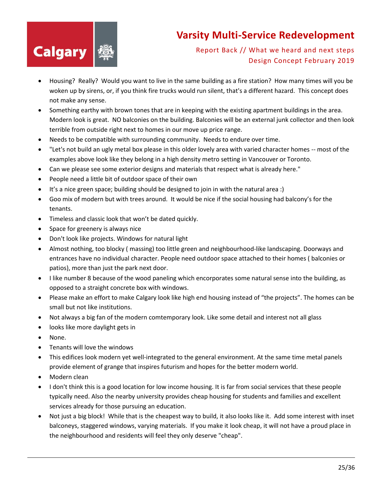

- Housing? Really? Would you want to live in the same building as a fire station? How many times will you be woken up by sirens, or, if you think fire trucks would run silent, that's a different hazard. This concept does not make any sense.
- Something earthy with brown tones that are in keeping with the existing apartment buildings in the area. Modern look is great. NO balconies on the building. Balconies will be an external junk collector and then look terrible from outside right next to homes in our move up price range.
- Needs to be compatible with surrounding community. Needs to endure over time.
- "Let's not build an ugly metal box please in this older lovely area with varied character homes -- most of the examples above look like they belong in a high density metro setting in Vancouver or Toronto.
- Can we please see some exterior designs and materials that respect what is already here."
- People need a little bit of outdoor space of their own
- It's a nice green space; building should be designed to join in with the natural area :)
- Goo mix of modern but with trees around. It would be nice if the social housing had balcony's for the tenants.
- Timeless and classic look that won't be dated quickly.
- Space for greenery is always nice
- Don't look like projects. Windows for natural light
- Almost nothing, too blocky ( massing) too little green and neighbourhood-like landscaping. Doorways and entrances have no individual character. People need outdoor space attached to their homes ( balconies or patios), more than just the park next door.
- I like number 8 because of the wood paneling which encorporates some natural sense into the building, as opposed to a straight concrete box with windows.
- Please make an effort to make Calgary look like high end housing instead of "the projects". The homes can be small but not like institutions.
- Not always a big fan of the modern comtemporary look. Like some detail and interest not all glass
- looks like more daylight gets in
- None.
- Tenants will love the windows
- This edifices look modern yet well-integrated to the general environment. At the same time metal panels provide element of grange that inspires futurism and hopes for the better modern world.
- Modern clean
- I don't think this is a good location for low income housing. It is far from social services that these people typically need. Also the nearby university provides cheap housing for students and families and excellent services already for those pursuing an education.
- Not just a big block! While that is the cheapest way to build, it also looks like it. Add some interest with inset balconeys, staggered windows, varying materials. If you make it look cheap, it will not have a proud place in the neighbourhood and residents will feel they only deserve "cheap".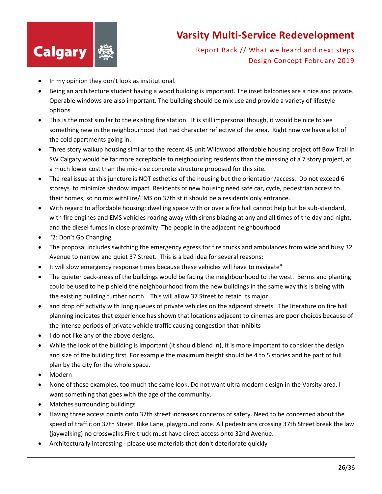

- In my opinion they don't look as institutional.
- Being an architecture student having a wood building is important. The inset balconies are a nice and private. Operable windows are also important. The building should be mix use and provide a variety of lifestyle options
- This is the most similar to the existing fire station. It is still impersonal though, it would be nice to see something new in the neighbourhood that had character reflective of the area. Right now we have a lot of the cold apartments going in.
- Three story walkup housing similar to the recent 48 unit Wildwood affordable housing project off Bow Trail in SW Calgary would be far more acceptable to neighbouring residents than the massing of a 7 story project, at a much lower cost than the mid-rise concrete structure proposed for this site.
- The real issue at this juncture is NOT esthetics of the housing but the orientation/access. Do not exceed 6 storeys to minimize shadow impact. Residents of new housing need safe car, cycle, pedestrian access to their homes, so no mix withFire/EMS on 37th st it should be a residents'only entrance.
- With regard to affordable housing: dwelling space with or over a fire hall cannot help but be sub-standard, with fire engines and EMS vehicles roaring away with sirens blazing at any and all times of the day and night, and the diesel fumes in close proximity. The people in the adjacent neighbourhood
- "2: Don't Go Changing
- The proposal includes switching the emergency egress for fire trucks and ambulances from wide and busy 32 Avenue to narrow and quiet 37 Street. This is a bad idea for several reasons:
- It will slow emergency response times because these vehicles will have to navigate"
- The quieter back-areas of the buildings would be facing the neighbourhood to the west. Berms and planting could be used to help shield the neighbourhood from the new buildings in the same way this is being with the existing building further north. This will allow 37 Street to retain its major
- and drop off activity with long queues of private vehicles on the adjacent streets. The literature on fire hall planning indicates that experience has shown that locations adjacent to cinemas are poor choices because of the intense periods of private vehicle traffic causing congestion that inhibits
- I do not like any of the above designs.
- While the look of the building is important (it should blend in), it is more important to consider the design and size of the building first. For example the maximum height should be 4 to 5 stories and be part of full plan by the city for the whole space.
- Modern
- None of these examples, too much the same look. Do not want ultra modern design in the Varsity area. I want something that goes with the age of the community.
- Matches surrounding buildings
- Having three access points onto 37th street increases concerns of safety. Need to be concerned about the speed of traffic on 37th Street. Bike Lane, playground zone. All pedestrians crossing 37th Street break the law (jaywalking) no crosswalks.Fire truck must have direct access onto 32nd Avenue.
- Architecturally interesting please use materials that don't deteriorate quickly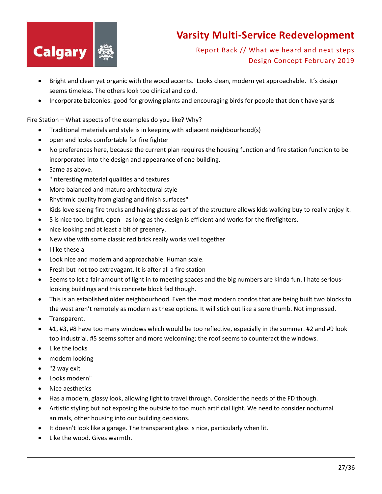

Report Back // What we heard and next steps Design Concept February 2019

- Bright and clean yet organic with the wood accents. Looks clean, modern yet approachable. It's design seems timeless. The others look too clinical and cold.
- Incorporate balconies: good for growing plants and encouraging birds for people that don't have yards

#### Fire Station – What aspects of the examples do you like? Why?

- Traditional materials and style is in keeping with adjacent neighbourhood(s)
- open and looks comfortable for fire fighter
- No preferences here, because the current plan requires the housing function and fire station function to be incorporated into the design and appearance of one building.
- Same as above.
- "Interesting material qualities and textures
- More balanced and mature architectural style
- Rhythmic quality from glazing and finish surfaces"
- Kids love seeing fire trucks and having glass as part of the structure allows kids walking buy to really enjoy it.
- 5 is nice too. bright, open as long as the design is efficient and works for the firefighters.
- nice looking and at least a bit of greenery.
- New vibe with some classic red brick really works well together
- I like these a
- Look nice and modern and approachable. Human scale.
- Fresh but not too extravagant. It is after all a fire station
- Seems to let a fair amount of light in to meeting spaces and the big numbers are kinda fun. I hate seriouslooking buildings and this concrete block fad though.
- This is an established older neighbourhood. Even the most modern condos that are being built two blocks to the west aren't remotely as modern as these options. It will stick out like a sore thumb. Not impressed.
- Transparent.
- #1, #3, #8 have too many windows which would be too reflective, especially in the summer. #2 and #9 look too industrial. #5 seems softer and more welcoming; the roof seems to counteract the windows.
- Like the looks
- modern looking
- "2 way exit
- Looks modern"
- Nice aesthetics
- Has a modern, glassy look, allowing light to travel through. Consider the needs of the FD though.
- Artistic styling but not exposing the outside to too much artificial light. We need to consider nocturnal animals, other housing into our building decisions.
- It doesn't look like a garage. The transparent glass is nice, particularly when lit.
- Like the wood. Gives warmth.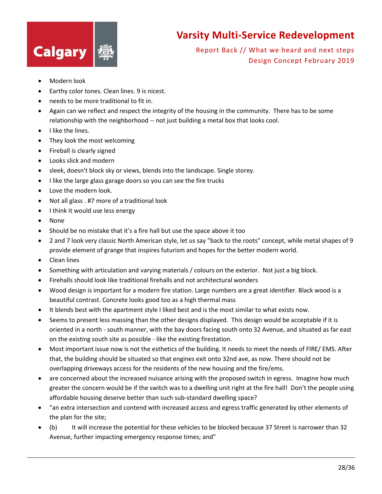

- Modern look
- Earthy color tones. Clean lines. 9 is nicest.
- needs to be more traditional to fit in.
- Again can we reflect and respect the integrity of the housing in the community. There has to be some relationship with the neighborhood -- not just building a metal box that looks cool.
- I like the lines.
- They look the most welcoming
- Fireball is clearly signed
- Looks slick and modern
- sleek, doesn't block sky or views, blends into the landscape. Single storey.
- I like the large glass garage doors so you can see the fire trucks
- Love the modern look.
- Not all glass . #7 more of a traditional look
- I think it would use less energy
- None
- Should be no mistake that it's a fire hall but use the space above it too
- 2 and 7 look very classic North American style, let us say "back to the roots" concept, while metal shapes of 9 provide element of grange that inspires futurism and hopes for the better modern world.
- Clean lines
- Something with articulation and varying materials / colours on the exterior. Not just a big block.
- Firehalls should look like traditional firehalls and not architectural wonders
- Wood design is important for a modern fire station. Large numbers are a great identifier. Black wood is a beautiful contrast. Concrete looks good too as a high thermal mass
- It blends best with the apartment style I liked best and is the most similar to what exists now.
- Seems to present less massing than the other designs displayed. This design would be acceptable if it is oriented in a north - south manner, with the bay doors facing south onto 32 Avenue, and situated as far east on the existing south site as possible - like the existing firestation.
- Most important issue now is not the esthetics of the building. It needs to meet the needs of FIRE/ EMS. After that, the building should be situated so that engines exit onto 32nd ave, as now. There should not be overlapping driveways access for the residents of the new housing and the fire/ems.
- are concerned about the increased nuisance arising with the proposed switch in egress. Imagine how much greater the concern would be if the switch was to a dwelling unit right at the fire hall! Don't the people using affordable housing deserve better than such sub-standard dwelling space?
- "an extra intersection and contend with increased access and egress traffic generated by other elements of the plan for the site;
- (b) It will increase the potential for these vehicles to be blocked because 37 Street is narrower than 32 Avenue, further impacting emergency response times; and"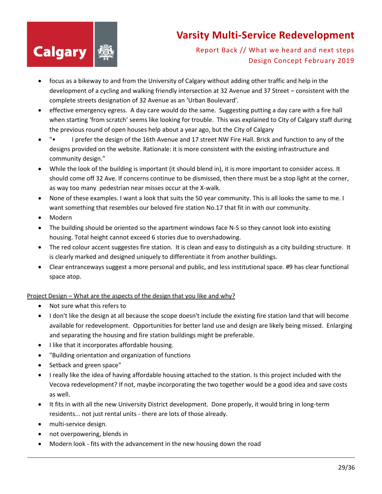

Report Back // What we heard and next steps Design Concept February 2019

- focus as a bikeway to and from the University of Calgary without adding other traffic and help in the development of a cycling and walking friendly intersection at 32 Avenue and 37 Street – consistent with the complete streets designation of 32 Avenue as an 'Urban Boulevard'.
- effective emergency egress. A day care would do the same. Suggesting putting a day care with a fire hall when starting 'from scratch' seems like looking for trouble. This was explained to City of Calgary staff during the previous round of open houses help about a year ago, but the City of Calgary
- "• I prefer the design of the 16th Avenue and 17 street NW Fire Hall. Brick and function to any of the designs provided on the website. Rationale: it is more consistent with the existing infrastructure and community design."
- While the look of the building is important (it should blend in), it is more important to consider access. It should come off 32 Ave. If concerns continue to be dismissed, then there must be a stop light at the corner, as way too many pedestrian near misses occur at the X-walk.
- None of these examples. I want a look that suits the 50 year community. This is all looks the same to me. I want something that resembles our beloved fire station No.17 that fit in with our community.
- Modern
- The building should be oriented so the apartment windows face N-S so they cannot look into existing housing. Total height cannot exceed 6 stories due to overshadowing.
- The red colour accent suggestes fire station. It is clean and easy to distinguish as a city building structure. It is clearly marked and designed uniquely to differentiate it from another buildings.
- Clear entranceways suggest a more personal and public, and less institutional space. #9 has clear functional space atop.

#### Project Design – What are the aspects of the design that you like and why?

- Not sure what this refers to
- I don't like the design at all because the scope doesn't include the existing fire station land that will become available for redevelopment. Opportunities for better land use and design are likely being missed. Enlarging and separating the housing and fire station buildings might be preferable.
- I like that it incorporates affordable housing.
- "Building orientation and organization of functions
- Setback and green space"
- I really like the idea of having affordable housing attached to the station. Is this project included with the Vecova redevelopment? If not, maybe incorporating the two together would be a good idea and save costs as well.
- It fits in with all the new University District development. Done properly, it would bring in long-term residents... not just rental units - there are lots of those already.
- multi-service design.
- not overpowering, blends in
- Modern look fits with the advancement in the new housing down the road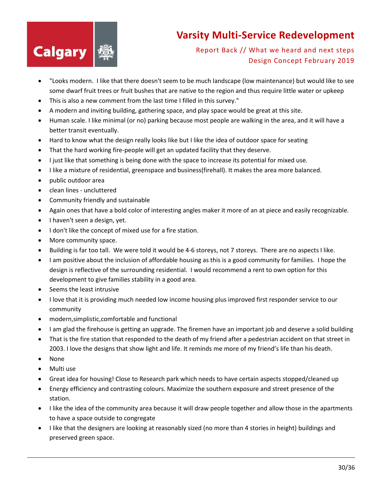

- "Looks modern. I like that there doesn't seem to be much landscape (low maintenance) but would like to see some dwarf fruit trees or fruit bushes that are native to the region and thus require little water or upkeep
- This is also a new comment from the last time I filled in this survey."
- A modern and inviting building, gathering space, and play space would be great at this site.
- Human scale. I like minimal (or no) parking because most people are walking in the area, and it will have a better transit eventually.
- Hard to know what the design really looks like but I like the idea of outdoor space for seating
- That the hard working fire-people will get an updated facility that they deserve.
- I just like that something is being done with the space to increase its potential for mixed use.
- I like a mixture of residential, greenspace and business(firehall). It makes the area more balanced.
- public outdoor area
- clean lines uncluttered
- Community friendly and sustainable
- Again ones that have a bold color of interesting angles maker it more of an at piece and easily recognizable.
- I haven't seen a design, yet.
- I don't like the concept of mixed use for a fire station.
- More community space.
- Building is far too tall. We were told it would be 4-6 storeys, not 7 storeys. There are no aspects I like.
- I am positive about the inclusion of affordable housing as this is a good community for families. I hope the design is reflective of the surrounding residential. I would recommend a rent to own option for this development to give families stability in a good area.
- Seems the least intrusive
- I love that it is providing much needed low income housing plus improved first responder service to our community
- modern,simplistic,comfortable and functional
- I am glad the firehouse is getting an upgrade. The firemen have an important job and deserve a solid building
- That is the fire station that responded to the death of my friend after a pedestrian accident on that street in 2003. I love the designs that show light and life. It reminds me more of my friend's life than his death.
- None
- Multi use
- Great idea for housing! Close to Research park which needs to have certain aspects stopped/cleaned up
- Energy efficiency and contrasting colours. Maximize the southern exposure and street presence of the station.
- I like the idea of the community area because it will draw people together and allow those in the apartments to have a space outside to congregate
- I like that the designers are looking at reasonably sized (no more than 4 stories in height) buildings and preserved green space.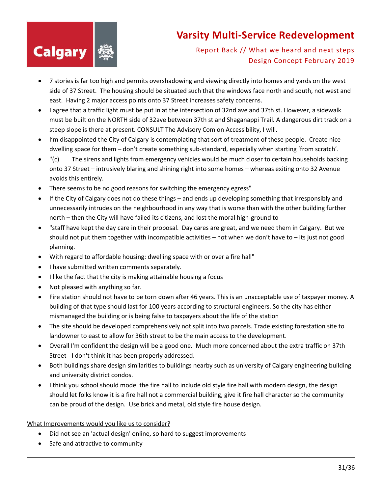

#### Report Back // What we heard and next steps Design Concept February 2019

- 7 stories is far too high and permits overshadowing and viewing directly into homes and yards on the west side of 37 Street. The housing should be situated such that the windows face north and south, not west and east. Having 2 major access points onto 37 Street increases safety concerns.
- I agree that a traffic light must be put in at the intersection of 32nd ave and 37th st. However, a sidewalk must be built on the NORTH side of 32ave between 37th st and Shaganappi Trail. A dangerous dirt track on a steep slope is there at present. CONSULT The Advisory Com on Accessibility, I will.
- I'm disappointed the City of Calgary is contemplating that sort of treatment of these people. Create nice dwelling space for them – don't create something sub-standard, especially when starting 'from scratch'.
- "(c) The sirens and lights from emergency vehicles would be much closer to certain households backing onto 37 Street – intrusively blaring and shining right into some homes – whereas exiting onto 32 Avenue avoids this entirely.
- There seems to be no good reasons for switching the emergency egress"
- If the City of Calgary does not do these things and ends up developing something that irresponsibly and unnecessarily intrudes on the neighbourhood in any way that is worse than with the other building further north – then the City will have failed its citizens, and lost the moral high-ground to
- "staff have kept the day care in their proposal. Day cares are great, and we need them in Calgary. But we should not put them together with incompatible activities – not when we don't have to – its just not good planning.
- With regard to affordable housing: dwelling space with or over a fire hall"
- I have submitted written comments separately.
- I like the fact that the city is making attainable housing a focus
- Not pleased with anything so far.
- Fire station should not have to be torn down after 46 years. This is an unacceptable use of taxpayer money. A building of that type should last for 100 years according to structural engineers. So the city has either mismanaged the building or is being false to taxpayers about the life of the station
- The site should be developed comprehensively not split into two parcels. Trade existing forestation site to landowner to east to allow for 36th street to be the main access to the development.
- Overall I'm confident the design will be a good one. Much more concerned about the extra traffic on 37th Street - I don't think it has been properly addressed.
- Both buildings share design similarities to buildings nearby such as university of Calgary engineering building and university district condos.
- I think you school should model the fire hall to include old style fire hall with modern design, the design should let folks know it is a fire hall not a commercial building, give it fire hall character so the community can be proud of the design. Use brick and metal, old style fire house design.

#### What Improvements would you like us to consider?

- Did not see an 'actual design' online, so hard to suggest improvements
- Safe and attractive to community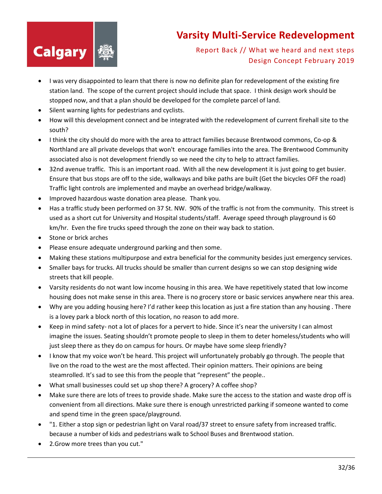

- I was very disappointed to learn that there is now no definite plan for redevelopment of the existing fire station land. The scope of the current project should include that space. I think design work should be stopped now, and that a plan should be developed for the complete parcel of land.
- Silent warning lights for pedestrians and cyclists.
- How will this development connect and be integrated with the redevelopment of current firehall site to the south?
- I think the city should do more with the area to attract families because Brentwood commons, Co-op & Northland are all private develops that won't encourage families into the area. The Brentwood Community associated also is not development friendly so we need the city to help to attract families.
- 32nd avenue traffic. This is an important road. With all the new development it is just going to get busier. Ensure that bus stops are off to the side, walkways and bike paths are built (Get the bicycles OFF the road) Traffic light controls are implemented and maybe an overhead bridge/walkway.
- Improved hazardous waste donation area please. Thank you.
- Has a traffic study been performed on 37 St. NW. 90% of the traffic is not from the community. This street is used as a short cut for University and Hospital students/staff. Average speed through playground is 60 km/hr. Even the fire trucks speed through the zone on their way back to station.
- Stone or brick arches
- Please ensure adequate underground parking and then some.
- Making these stations multipurpose and extra beneficial for the community besides just emergency services.
- Smaller bays for trucks. All trucks should be smaller than current designs so we can stop designing wide streets that kill people.
- Varsity residents do not want low income housing in this area. We have repetitively stated that low income housing does not make sense in this area. There is no grocery store or basic services anywhere near this area.
- Why are you adding housing here? I'd rather keep this location as just a fire station than any housing . There is a lovey park a block north of this location, no reason to add more.
- Keep in mind safety- not a lot of places for a pervert to hide. Since it's near the university I can almost imagine the issues. Seating shouldn't promote people to sleep in them to deter homeless/students who will just sleep there as they do on campus for hours. Or maybe have some sleep friendly?
- I know that my voice won't be heard. This project will unfortunately probably go through. The people that live on the road to the west are the most affected. Their opinion matters. Their opinions are being steamrolled. It's sad to see this from the people that "represent" the people..
- What small businesses could set up shop there? A grocery? A coffee shop?
- Make sure there are lots of trees to provide shade. Make sure the access to the station and waste drop off is convenient from all directions. Make sure there is enough unrestricted parking if someone wanted to come and spend time in the green space/playground.
- "1. Either a stop sign or pedestrian light on Varal road/37 street to ensure safety from increased traffic. because a number of kids and pedestrians walk to School Buses and Brentwood station.
- 2.Grow more trees than you cut."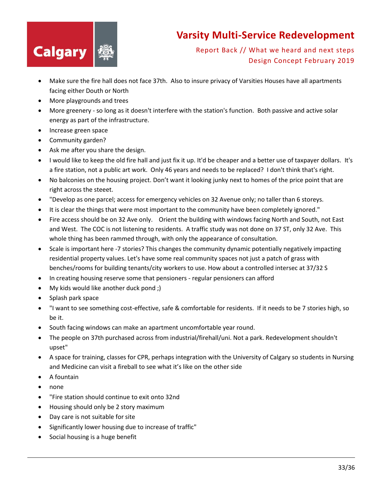

- Make sure the fire hall does not face 37th. Also to insure privacy of Varsities Houses have all apartments facing either Douth or North
- More playgrounds and trees
- More greenery so long as it doesn't interfere with the station's function. Both passive and active solar energy as part of the infrastructure.
- Increase green space
- Community garden?
- Ask me after you share the design.
- I would like to keep the old fire hall and just fix it up. It'd be cheaper and a better use of taxpayer dollars. It's a fire station, not a public art work. Only 46 years and needs to be replaced? I don't think that's right.
- No balconies on the housing project. Don't want it looking junky next to homes of the price point that are right across the steeet.
- "Develop as one parcel; access for emergency vehicles on 32 Avenue only; no taller than 6 storeys.
- It is clear the things that were most important to the community have been completely ignored."
- Fire access should be on 32 Ave only. Orient the building with windows facing North and South, not East and West. The COC is not listening to residents. A traffic study was not done on 37 ST, only 32 Ave. This whole thing has been rammed through, with only the appearance of consultation.
- Scale is important here -7 stories? This changes the community dynamic potentially negatively impacting residential property values. Let's have some real community spaces not just a patch of grass with benches/rooms for building tenants/city workers to use. How about a controlled intersec at 37/32 S
- In creating housing reserve some that pensioners regular pensioners can afford
- My kids would like another duck pond ;)
- Splash park space
- "I want to see something cost-effective, safe & comfortable for residents. If it needs to be 7 stories high, so be it.
- South facing windows can make an apartment uncomfortable year round.
- The people on 37th purchased across from industrial/firehall/uni. Not a park. Redevelopment shouldn't upset"
- A space for training, classes for CPR, perhaps integration with the University of Calgary so students in Nursing and Medicine can visit a fireball to see what it's like on the other side
- A fountain
- none
- "Fire station should continue to exit onto 32nd
- Housing should only be 2 story maximum
- Day care is not suitable for site
- Significantly lower housing due to increase of traffic"
- Social housing is a huge benefit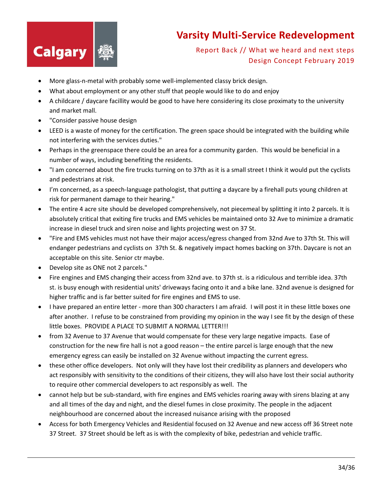

- More glass-n-metal with probably some well-implemented classy brick design.
- What about employment or any other stuff that people would like to do and enjoy
- A childcare / daycare facillity would be good to have here considering its close proximaty to the university and market mall.
- "Consider passive house design
- LEED is a waste of money for the certification. The green space should be integrated with the building while not interfering with the services duties."
- Perhaps in the greenspace there could be an area for a community garden. This would be beneficial in a number of ways, including benefiting the residents.
- "I am concerned about the fire trucks turning on to 37th as it is a small street I think it would put the cyclists and pedestrians at risk.
- I'm concerned, as a speech-language pathologist, that putting a daycare by a firehall puts young children at risk for permanent damage to their hearing."
- The entire 4 acre site should be developed comprehensively, not piecemeal by splitting it into 2 parcels. It is absolutely critical that exiting fire trucks and EMS vehicles be maintained onto 32 Ave to minimize a dramatic increase in diesel truck and siren noise and lights projecting west on 37 St.
- "Fire and EMS vehicles must not have their major access/egress changed from 32nd Ave to 37th St. This will endanger pedestrians and cyclists on 37th St. & negatively impact homes backing on 37th. Daycare is not an acceptable on this site. Senior ctr maybe.
- Develop site as ONE not 2 parcels."
- Fire engines and EMS changing their access from 32nd ave. to 37th st. is a ridiculous and terrible idea. 37th st. is busy enough with residential units' driveways facing onto it and a bike lane. 32nd avenue is designed for higher traffic and is far better suited for fire engines and EMS to use.
- I have prepared an entire letter more than 300 characters I am afraid. I will post it in these little boxes one after another. I refuse to be constrained from providing my opinion in the way I see fit by the design of these little boxes. PROVIDE A PLACE TO SUBMIT A NORMAL LETTER!!!
- from 32 Avenue to 37 Avenue that would compensate for these very large negative impacts. Ease of construction for the new fire hall is not a good reason – the entire parcel is large enough that the new emergency egress can easily be installed on 32 Avenue without impacting the current egress.
- these other office developers. Not only will they have lost their credibility as planners and developers who act responsibly with sensitivity to the conditions of their citizens, they will also have lost their social authority to require other commercial developers to act responsibly as well. The
- cannot help but be sub-standard, with fire engines and EMS vehicles roaring away with sirens blazing at any and all times of the day and night, and the diesel fumes in close proximity. The people in the adjacent neighbourhood are concerned about the increased nuisance arising with the proposed
- Access for both Emergency Vehicles and Residential focused on 32 Avenue and new access off 36 Street note 37 Street. 37 Street should be left as is with the complexity of bike, pedestrian and vehicle traffic.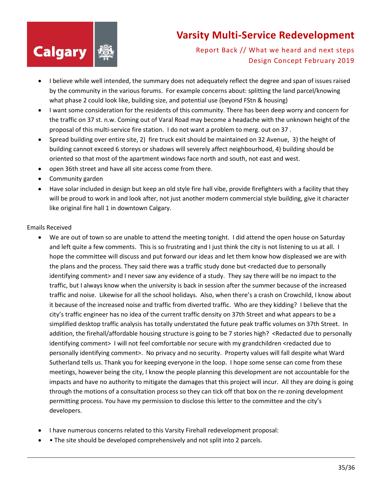

Report Back // What we heard and next steps Design Concept February 2019

- I believe while well intended, the summary does not adequately reflect the degree and span of issues raised by the community in the various forums. For example concerns about: splitting the land parcel/knowing what phase 2 could look like, building size, and potential use (beyond FStn & housing)
- I want some consideration for the residents of this community. There has been deep worry and concern for the traffic on 37 st. n.w. Coming out of Varal Road may become a headache with the unknown height of the proposal of this multi-service fire station. I do not want a problem to merg. out on 37 .
- Spread building over entire site, 2) fire truck exit should be maintained on 32 Avenue, 3) the height of building cannot exceed 6 storeys or shadows will severely affect neighbourhood, 4) building should be oriented so that most of the apartment windows face north and south, not east and west.
- open 36th street and have all site access come from there.
- Community garden
- Have solar included in design but keep an old style fire hall vibe, provide firefighters with a facility that they will be proud to work in and look after, not just another modern commercial style building, give it character like original fire hall 1 in downtown Calgary.

#### Emails Received

- We are out of town so are unable to attend the meeting tonight. I did attend the open house on Saturday and left quite a few comments. This is so frustrating and I just think the city is not listening to us at all. I hope the committee will discuss and put forward our ideas and let them know how displeased we are with the plans and the process. They said there was a traffic study done but <redacted due to personally identifying comment> and I never saw any evidence of a study. They say there will be no impact to the traffic, but I always know when the university is back in session after the summer because of the increased traffic and noise. Likewise for all the school holidays. Also, when there's a crash on Crowchild, I know about it because of the increased noise and traffic from diverted traffic. Who are they kidding? I believe that the city's traffic engineer has no idea of the current traffic density on 37th Street and what appears to be a simplified desktop traffic analysis has totally understated the future peak traffic volumes on 37th Street. In addition, the firehall/affordable housing structure is going to be 7 stories high? <Redacted due to personally identifying comment> I will not feel comfortable nor secure with my grandchildren <redacted due to personally identifying comment>. No privacy and no security. Property values will fall despite what Ward Sutherland tells us. Thank you for keeping everyone in the loop. I hope some sense can come from these meetings, however being the city, I know the people planning this development are not accountable for the impacts and have no authority to mitigate the damages that this project will incur. All they are doing is going through the motions of a consultation process so they can tick off that box on the re-zoning development permitting process. You have my permission to disclose this letter to the committee and the city's developers.
- I have numerous concerns related to this Varsity Firehall redevelopment proposal:
- The site should be developed comprehensively and not split into 2 parcels.